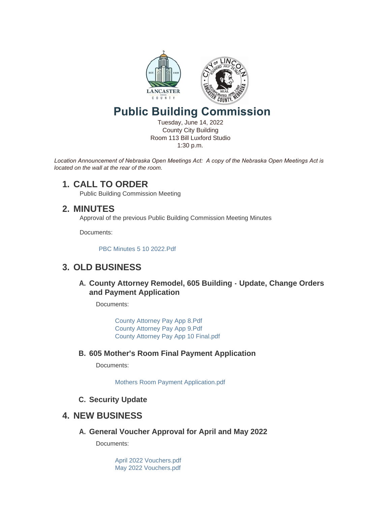

# **Public Building Commission**

Tuesday, June 14, 2022 County City Building Room 113 Bill Luxford Studio 1:30 p.m.

*Location Announcement of Nebraska Open Meetings Act: A copy of the Nebraska Open Meetings Act is located on the wall at the rear of the room.*

### **CALL TO ORDER 1.**

Public Building Commission Meeting

## **MINUTES 2.**

Approval of the previous Public Building Commission Meeting Minutes

Documents:

[PBC Minutes 5 10 2022.Pdf](https://www.lancaster.ne.gov/AgendaCenter/ViewFile/Item/5917?fileID=8363)

## **OLD BUSINESS 3.**

**County Attorney Remodel, 605 Building - Update, Change Orders A. and Payment Application**

Documents:

[County Attorney Pay App 8.Pdf](https://www.lancaster.ne.gov/AgendaCenter/ViewFile/Item/5641?fileID=8270) [County Attorney Pay App 9.Pdf](https://www.lancaster.ne.gov/AgendaCenter/ViewFile/Item/5641?fileID=8365) [County Attorney Pay App 10 Final.pdf](https://www.lancaster.ne.gov/AgendaCenter/ViewFile/Item/5641?fileID=8366)

**605 Mother's Room Final Payment Application B.**

Documents:

[Mothers Room Payment Application.pdf](https://www.lancaster.ne.gov/AgendaCenter/ViewFile/Item/5901?fileID=8364)

**Security Update C.**

### **NEW BUSINESS 4.**

**General Voucher Approval for April and May 2022 A.**

Documents:

[April 2022 Vouchers.pdf](https://www.lancaster.ne.gov/AgendaCenter/ViewFile/Item/5643?fileID=8269) [May 2022 Vouchers.pdf](https://www.lancaster.ne.gov/AgendaCenter/ViewFile/Item/5643?fileID=8362)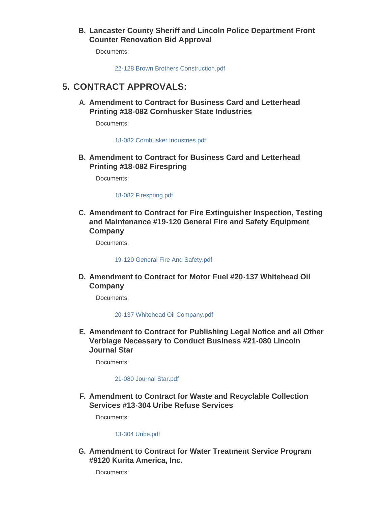#### **Lancaster County Sheriff and Lincoln Police Department Front B. Counter Renovation Bid Approval**

Documents:

[22-128 Brown Brothers Construction.pdf](https://www.lancaster.ne.gov/AgendaCenter/ViewFile/Item/5902?fileID=8367)

## **CONTRACT APPROVALS: 5.**

**Amendment to Contract for Business Card and Letterhead A. Printing #18-082 Cornhusker State Industries**

Documents:

[18-082 Cornhusker Industries.pdf](https://www.lancaster.ne.gov/AgendaCenter/ViewFile/Item/5859?fileID=8330)

**Amendment to Contract for Business Card and Letterhead B. Printing #18-082 Firespring**

Documents:

[18-082 Firespring.pdf](https://www.lancaster.ne.gov/AgendaCenter/ViewFile/Item/5860?fileID=8331)

**Amendment to Contract for Fire Extinguisher Inspection, Testing C. and Maintenance #19-120 General Fire and Safety Equipment Company**

Documents:

[19-120 General Fire And Safety.pdf](https://www.lancaster.ne.gov/AgendaCenter/ViewFile/Item/5645?fileID=8249)

**Amendment to Contract for Motor Fuel #20-137 Whitehead Oil D. Company**

Documents:

[20-137 Whitehead Oil Company.pdf](https://www.lancaster.ne.gov/AgendaCenter/ViewFile/Item/5923?fileID=8368)

**Amendment to Contract for Publishing Legal Notice and all Other E. Verbiage Necessary to Conduct Business #21-080 Lincoln Journal Star**

Documents:

#### [21-080 Journal Star.pdf](https://www.lancaster.ne.gov/AgendaCenter/ViewFile/Item/5861?fileID=8332)

**Amendment to Contract for Waste and Recyclable Collection F. Services #13-304 Uribe Refuse Services** 

Documents:

#### [13-304 Uribe.pdf](https://www.lancaster.ne.gov/AgendaCenter/ViewFile/Item/5644?fileID=8248)

**Amendment to Contract for Water Treatment Service Program G. #9120 Kurita America, Inc.**

Documents: